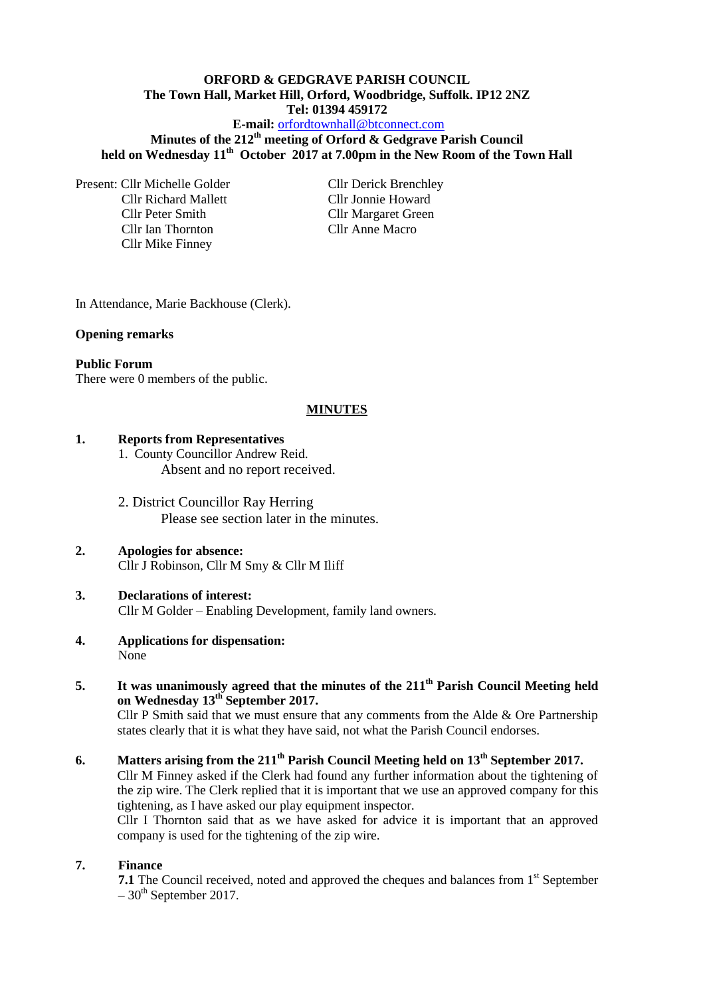#### **ORFORD & GEDGRAVE PARISH COUNCIL The Town Hall, Market Hill, Orford, Woodbridge, Suffolk. IP12 2NZ Tel: 01394 459172 E-mail:** [orfordtownhall@btconnect.com](mailto:orfordtownhall@btconnect.com)

**Minutes of the 212th meeting of Orford & Gedgrave Parish Council held on Wednesday 11th October 2017 at 7.00pm in the New Room of the Town Hall**

Present: Cllr Michelle Golder Cllr Derick Brenchley Cllr Richard Mallett Cllr Jonnie Howard Cllr Peter Smith Cllr Margaret Green Cllr Ian Thornton Cllr Anne Macro Cllr Mike Finney

In Attendance, Marie Backhouse (Clerk).

#### **Opening remarks**

#### **Public Forum**

There were 0 members of the public.

#### **MINUTES**

#### **1. Reports from Representatives**

- 1. County Councillor Andrew Reid. Absent and no report received.
- 2. District Councillor Ray Herring Please see section later in the minutes.

#### **2. Apologies for absence:** Cllr J Robinson, Cllr M Smy & Cllr M Iliff

### **3. Declarations of interest:** Cllr M Golder – Enabling Development, family land owners.

- **4. Applications for dispensation:** None
- **5. It was unanimously agreed that the minutes of the 211th Parish Council Meeting held on Wednesday 13th September 2017.**

Cllr P Smith said that we must ensure that any comments from the Alde & Ore Partnership states clearly that it is what they have said, not what the Parish Council endorses.

**6. Matters arising from the 211th Parish Council Meeting held on 13th September 2017.** Cllr M Finney asked if the Clerk had found any further information about the tightening of the zip wire. The Clerk replied that it is important that we use an approved company for this tightening, as I have asked our play equipment inspector.

Cllr I Thornton said that as we have asked for advice it is important that an approved company is used for the tightening of the zip wire.

#### **7. Finance**

**7.1** The Council received, noted and approved the cheques and balances from 1<sup>st</sup> September  $-30$ <sup>th</sup> September 2017.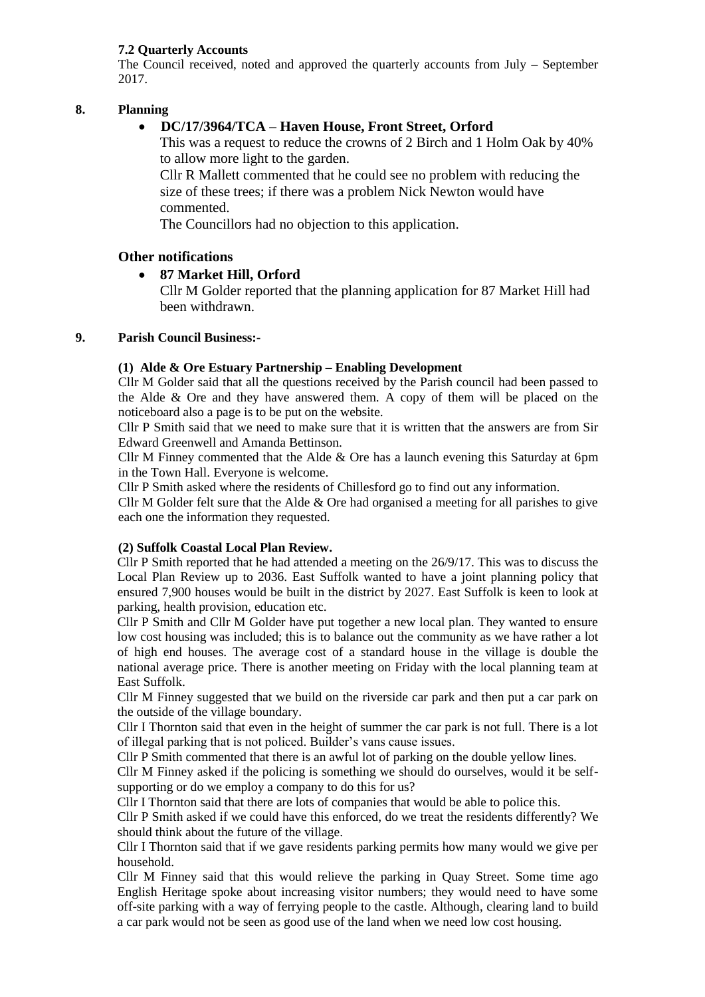## **7.2 Quarterly Accounts**

The Council received, noted and approved the quarterly accounts from July – September 2017.

## **8. Planning**

## **DC/17/3964/TCA – Haven House, Front Street, Orford**

This was a request to reduce the crowns of 2 Birch and 1 Holm Oak by 40% to allow more light to the garden.

Cllr R Mallett commented that he could see no problem with reducing the size of these trees; if there was a problem Nick Newton would have commented.

The Councillors had no objection to this application.

## **Other notifications**

# **87 Market Hill, Orford**

Cllr M Golder reported that the planning application for 87 Market Hill had been withdrawn.

### **9. Parish Council Business:-**

### **(1) Alde & Ore Estuary Partnership – Enabling Development**

Cllr M Golder said that all the questions received by the Parish council had been passed to the Alde & Ore and they have answered them. A copy of them will be placed on the noticeboard also a page is to be put on the website.

Cllr P Smith said that we need to make sure that it is written that the answers are from Sir Edward Greenwell and Amanda Bettinson.

Cllr M Finney commented that the Alde & Ore has a launch evening this Saturday at 6pm in the Town Hall. Everyone is welcome.

Cllr P Smith asked where the residents of Chillesford go to find out any information.

Cllr M Golder felt sure that the Alde & Ore had organised a meeting for all parishes to give each one the information they requested.

## **(2) Suffolk Coastal Local Plan Review.**

Cllr P Smith reported that he had attended a meeting on the 26/9/17. This was to discuss the Local Plan Review up to 2036. East Suffolk wanted to have a joint planning policy that ensured 7,900 houses would be built in the district by 2027. East Suffolk is keen to look at parking, health provision, education etc.

Cllr P Smith and Cllr M Golder have put together a new local plan. They wanted to ensure low cost housing was included; this is to balance out the community as we have rather a lot of high end houses. The average cost of a standard house in the village is double the national average price. There is another meeting on Friday with the local planning team at East Suffolk.

Cllr M Finney suggested that we build on the riverside car park and then put a car park on the outside of the village boundary.

Cllr I Thornton said that even in the height of summer the car park is not full. There is a lot of illegal parking that is not policed. Builder's vans cause issues.

Cllr P Smith commented that there is an awful lot of parking on the double yellow lines.

Cllr M Finney asked if the policing is something we should do ourselves, would it be selfsupporting or do we employ a company to do this for us?

Cllr I Thornton said that there are lots of companies that would be able to police this.

Cllr P Smith asked if we could have this enforced, do we treat the residents differently? We should think about the future of the village.

Cllr I Thornton said that if we gave residents parking permits how many would we give per household.

Cllr M Finney said that this would relieve the parking in Quay Street. Some time ago English Heritage spoke about increasing visitor numbers; they would need to have some off-site parking with a way of ferrying people to the castle. Although, clearing land to build a car park would not be seen as good use of the land when we need low cost housing.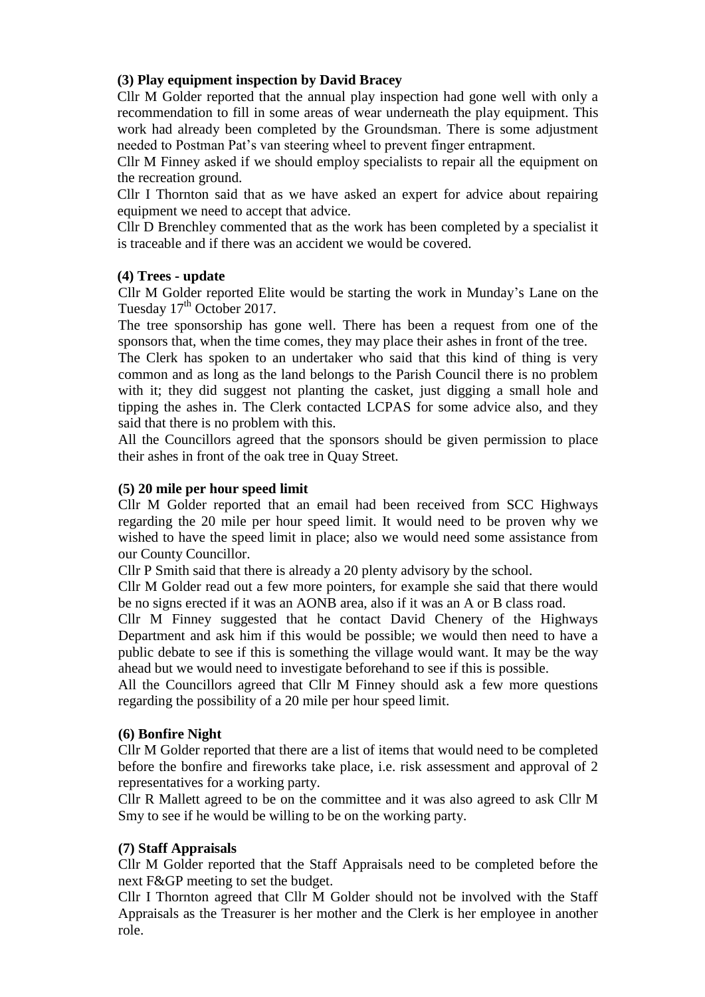# **(3) Play equipment inspection by David Bracey**

Cllr M Golder reported that the annual play inspection had gone well with only a recommendation to fill in some areas of wear underneath the play equipment. This work had already been completed by the Groundsman. There is some adjustment needed to Postman Pat's van steering wheel to prevent finger entrapment.

Cllr M Finney asked if we should employ specialists to repair all the equipment on the recreation ground.

Cllr I Thornton said that as we have asked an expert for advice about repairing equipment we need to accept that advice.

Cllr D Brenchley commented that as the work has been completed by a specialist it is traceable and if there was an accident we would be covered.

## **(4) Trees - update**

Cllr M Golder reported Elite would be starting the work in Munday's Lane on the Tuesday 17<sup>th</sup> October 2017.

The tree sponsorship has gone well. There has been a request from one of the sponsors that, when the time comes, they may place their ashes in front of the tree.

The Clerk has spoken to an undertaker who said that this kind of thing is very common and as long as the land belongs to the Parish Council there is no problem with it; they did suggest not planting the casket, just digging a small hole and tipping the ashes in. The Clerk contacted LCPAS for some advice also, and they said that there is no problem with this.

All the Councillors agreed that the sponsors should be given permission to place their ashes in front of the oak tree in Quay Street.

## **(5) 20 mile per hour speed limit**

Cllr M Golder reported that an email had been received from SCC Highways regarding the 20 mile per hour speed limit. It would need to be proven why we wished to have the speed limit in place; also we would need some assistance from our County Councillor.

Cllr P Smith said that there is already a 20 plenty advisory by the school.

Cllr M Golder read out a few more pointers, for example she said that there would be no signs erected if it was an AONB area, also if it was an A or B class road.

Cllr M Finney suggested that he contact David Chenery of the Highways Department and ask him if this would be possible; we would then need to have a public debate to see if this is something the village would want. It may be the way ahead but we would need to investigate beforehand to see if this is possible.

All the Councillors agreed that Cllr M Finney should ask a few more questions regarding the possibility of a 20 mile per hour speed limit.

# **(6) Bonfire Night**

Cllr M Golder reported that there are a list of items that would need to be completed before the bonfire and fireworks take place, i.e. risk assessment and approval of 2 representatives for a working party.

Cllr R Mallett agreed to be on the committee and it was also agreed to ask Cllr M Smy to see if he would be willing to be on the working party.

# **(7) Staff Appraisals**

Cllr M Golder reported that the Staff Appraisals need to be completed before the next F&GP meeting to set the budget.

Cllr I Thornton agreed that Cllr M Golder should not be involved with the Staff Appraisals as the Treasurer is her mother and the Clerk is her employee in another role.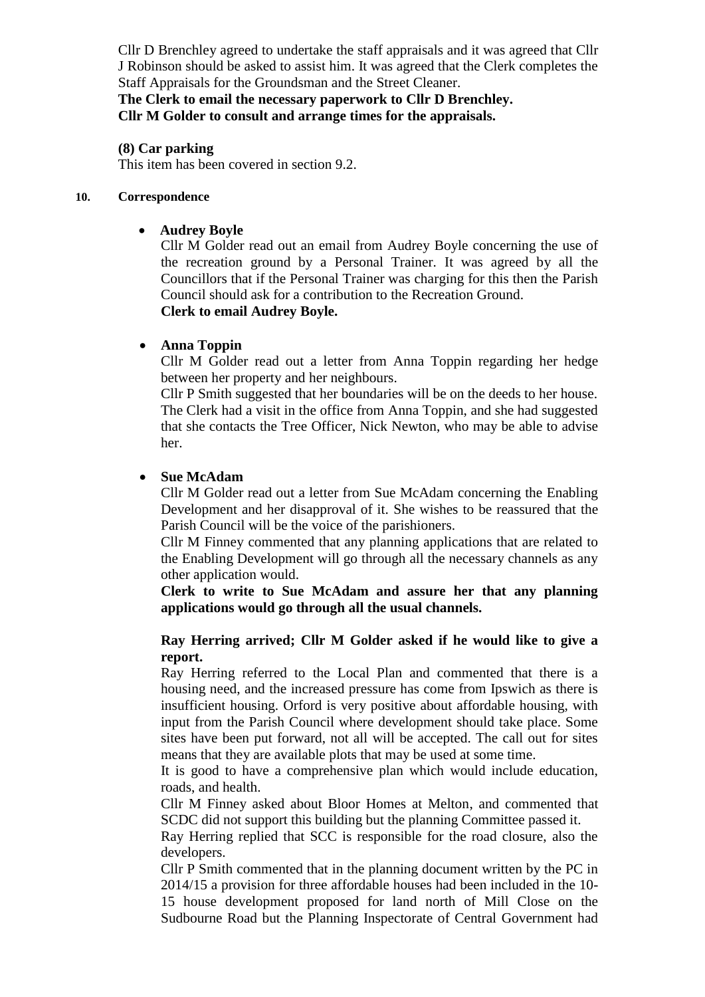Cllr D Brenchley agreed to undertake the staff appraisals and it was agreed that Cllr J Robinson should be asked to assist him. It was agreed that the Clerk completes the Staff Appraisals for the Groundsman and the Street Cleaner.

**The Clerk to email the necessary paperwork to Cllr D Brenchley. Cllr M Golder to consult and arrange times for the appraisals.**

### **(8) Car parking**

This item has been covered in section 9.2.

#### **10. Correspondence**

## **Audrey Boyle**

Cllr M Golder read out an email from Audrey Boyle concerning the use of the recreation ground by a Personal Trainer. It was agreed by all the Councillors that if the Personal Trainer was charging for this then the Parish Council should ask for a contribution to the Recreation Ground. **Clerk to email Audrey Boyle.**

## **Anna Toppin**

Cllr M Golder read out a letter from Anna Toppin regarding her hedge between her property and her neighbours.

Cllr P Smith suggested that her boundaries will be on the deeds to her house. The Clerk had a visit in the office from Anna Toppin, and she had suggested that she contacts the Tree Officer, Nick Newton, who may be able to advise her.

### **Sue McAdam**

Cllr M Golder read out a letter from Sue McAdam concerning the Enabling Development and her disapproval of it. She wishes to be reassured that the Parish Council will be the voice of the parishioners.

Cllr M Finney commented that any planning applications that are related to the Enabling Development will go through all the necessary channels as any other application would.

**Clerk to write to Sue McAdam and assure her that any planning applications would go through all the usual channels.**

## **Ray Herring arrived; Cllr M Golder asked if he would like to give a report.**

Ray Herring referred to the Local Plan and commented that there is a housing need, and the increased pressure has come from Ipswich as there is insufficient housing. Orford is very positive about affordable housing, with input from the Parish Council where development should take place. Some sites have been put forward, not all will be accepted. The call out for sites means that they are available plots that may be used at some time.

It is good to have a comprehensive plan which would include education, roads, and health.

Cllr M Finney asked about Bloor Homes at Melton, and commented that SCDC did not support this building but the planning Committee passed it.

Ray Herring replied that SCC is responsible for the road closure, also the developers.

Cllr P Smith commented that in the planning document written by the PC in 2014/15 a provision for three affordable houses had been included in the 10- 15 house development proposed for land north of Mill Close on the Sudbourne Road but the Planning Inspectorate of Central Government had